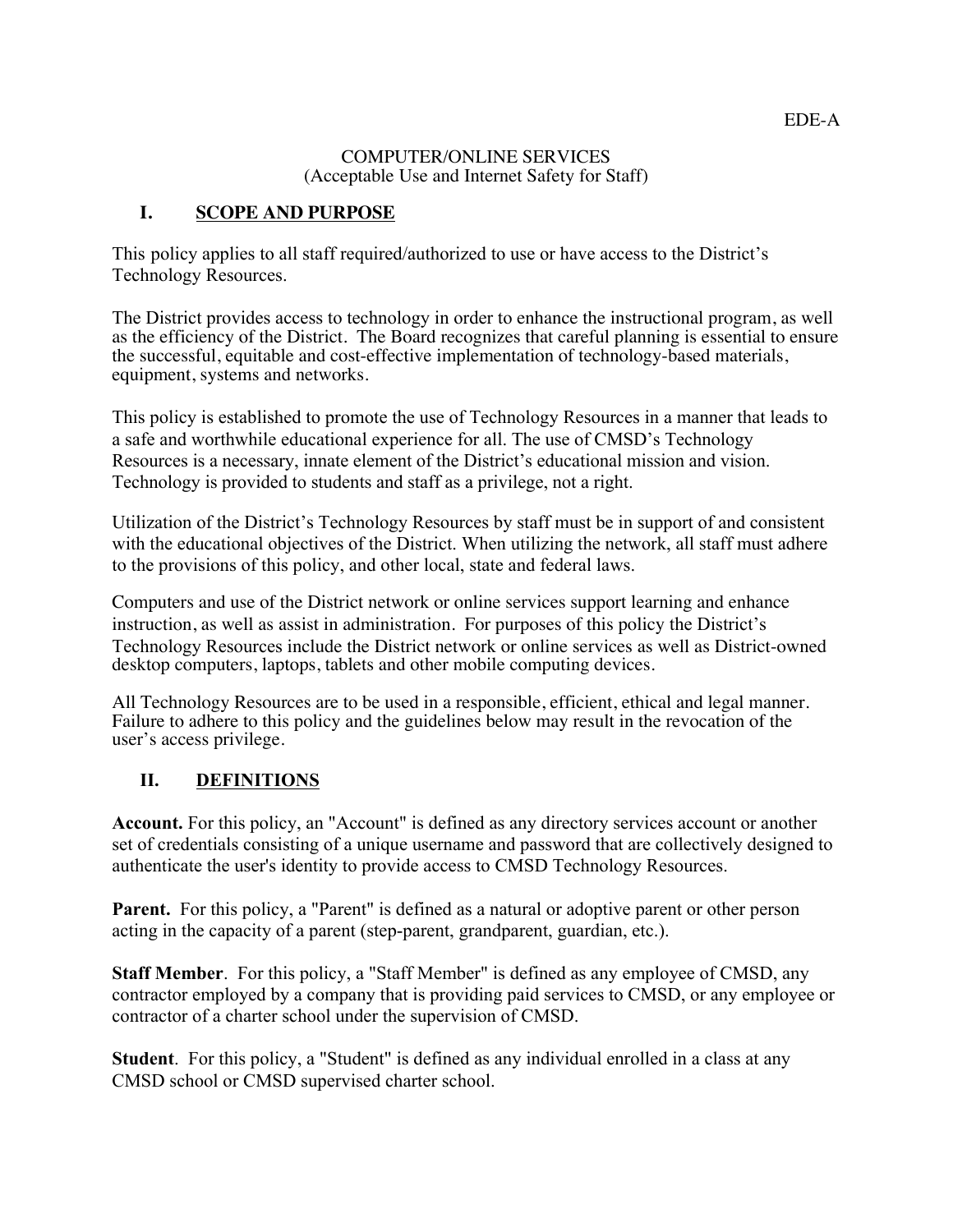#### COMPUTER/ONLINE SERVICES (Acceptable Use and Internet Safety for Staff)

#### **I. SCOPE AND PURPOSE**

This policy applies to all staff required/authorized to use or have access to the District's Technology Resources.

The District provides access to technology in order to enhance the instructional program, as well as the efficiency of the District. The Board recognizes that careful planning is essential to ensure the successful, equitable and cost-effective implementation of technology-based materials, equipment, systems and networks.

This policy is established to promote the use of Technology Resources in a manner that leads to a safe and worthwhile educational experience for all. The use of CMSD's Technology Resources is a necessary, innate element of the District's educational mission and vision. Technology is provided to students and staff as a privilege, not a right.

Utilization of the District's Technology Resources by staff must be in support of and consistent with the educational objectives of the District. When utilizing the network, all staff must adhere to the provisions of this policy, and other local, state and federal laws.

Computers and use of the District network or online services support learning and enhance instruction, as well as assist in administration. For purposes of this policy the District's Technology Resources include the District network or online services as well as District-owned desktop computers, laptops, tablets and other mobile computing devices.

All Technology Resources are to be used in a responsible, efficient, ethical and legal manner. Failure to adhere to this policy and the guidelines below may result in the revocation of the user's access privilege.

### **II. DEFINITIONS**

**Account.** For this policy, an "Account" is defined as any directory services account or another set of credentials consisting of a unique username and password that are collectively designed to authenticate the user's identity to provide access to CMSD Technology Resources.

Parent. For this policy, a "Parent" is defined as a natural or adoptive parent or other person acting in the capacity of a parent (step-parent, grandparent, guardian, etc.).

**Staff Member**. For this policy, a "Staff Member" is defined as any employee of CMSD, any contractor employed by a company that is providing paid services to CMSD, or any employee or contractor of a charter school under the supervision of CMSD.

**Student**. For this policy, a "Student" is defined as any individual enrolled in a class at any CMSD school or CMSD supervised charter school.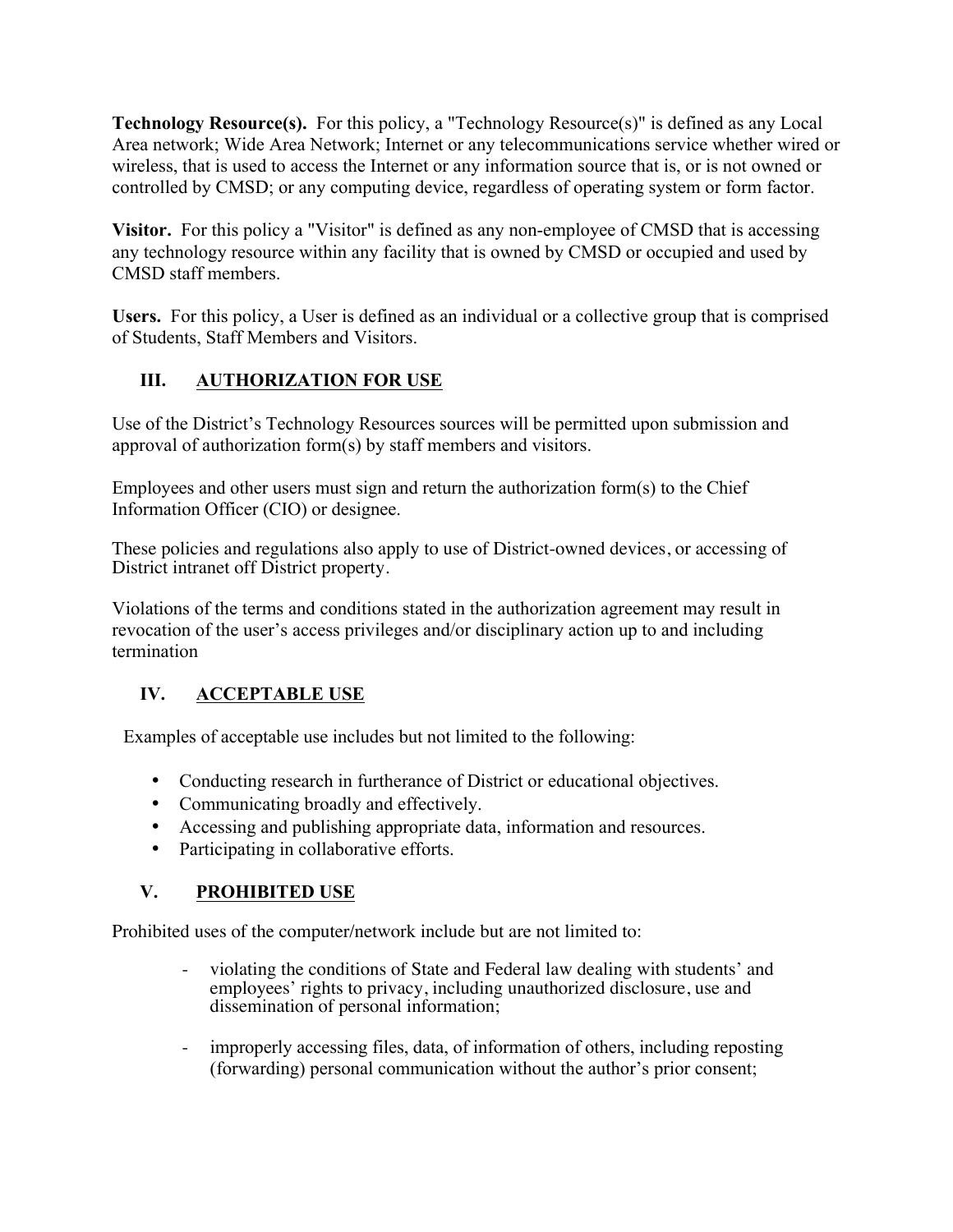**Technology Resource(s).** For this policy, a "Technology Resource(s)" is defined as any Local Area network; Wide Area Network; Internet or any telecommunications service whether wired or wireless, that is used to access the Internet or any information source that is, or is not owned or controlled by CMSD; or any computing device, regardless of operating system or form factor.

 **Visitor.** For this policy a "Visitor" is defined as any non-employee of CMSD that is accessing any technology resource within any facility that is owned by CMSD or occupied and used by CMSD staff members.

 **Users.** For this policy, a User is defined as an individual or a collective group that is comprised of Students, Staff Members and Visitors.

## **III. AUTHORIZATION FOR USE**

Use of the District's Technology Resources sources will be permitted upon submission and approval of authorization form(s) by staff members and visitors.

Employees and other users must sign and return the authorization form(s) to the Chief Information Officer (CIO) or designee.

These policies and regulations also apply to use of District-owned devices, or accessing of District intranet off District property.

Violations of the terms and conditions stated in the authorization agreement may result in revocation of the user's access privileges and/or disciplinary action up to and including termination

# **IV. ACCEPTABLE USE**

Examples of acceptable use includes but not limited to the following:

- Conducting research in furtherance of District or educational objectives.
- Communicating broadly and effectively.
- Accessing and publishing appropriate data, information and resources.
- Participating in collaborative efforts.

### **V. PROHIBITED USE**

Prohibited uses of the computer/network include but are not limited to:

- violating the conditions of State and Federal law dealing with students' and employees' rights to privacy, including unauthorized disclosure, use and dissemination of personal information;
- improperly accessing files, data, of information of others, including reposting (forwarding) personal communication without the author's prior consent;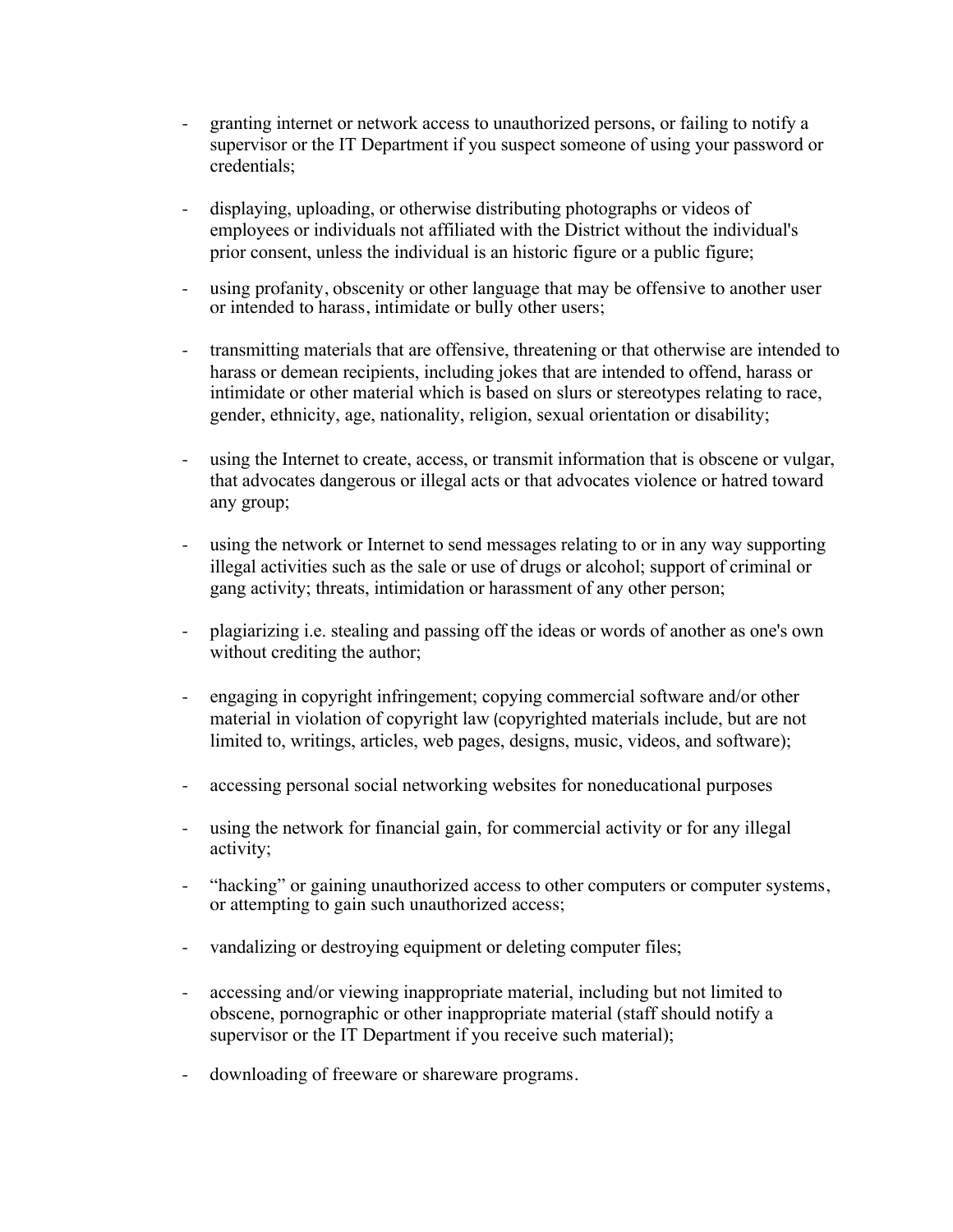- granting internet or network access to unauthorized persons, or failing to notify a supervisor or the IT Department if you suspect someone of using your password or credentials;
- displaying, uploading, or otherwise distributing photographs or videos of employees or individuals not affiliated with the District without the individual's prior consent, unless the individual is an historic figure or a public figure;
- using profanity, obscenity or other language that may be offensive to another user or intended to harass, intimidate or bully other users;
- transmitting materials that are offensive, threatening or that otherwise are intended to harass or demean recipients, including jokes that are intended to offend, harass or intimidate or other material which is based on slurs or stereotypes relating to race, gender, ethnicity, age, nationality, religion, sexual orientation or disability;
- using the Internet to create, access, or transmit information that is obscene or vulgar, that advocates dangerous or illegal acts or that advocates violence or hatred toward any group;
- using the network or Internet to send messages relating to or in any way supporting illegal activities such as the sale or use of drugs or alcohol; support of criminal or gang activity; threats, intimidation or harassment of any other person;
- plagiarizing i.e. stealing and passing off the ideas or words of another as one's own without crediting the author;
- engaging in copyright infringement; copying commercial software and/or other material in violation of copyright law (copyrighted materials include, but are not limited to, writings, articles, web pages, designs, music, videos, and software);
- accessing personal social networking websites for noneducational purposes
- using the network for financial gain, for commercial activity or for any illegal activity;
- "hacking" or gaining unauthorized access to other computers or computer systems, or attempting to gain such unauthorized access;
- vandalizing or destroying equipment or deleting computer files;
- supervisor or the IT Department if you receive such material); accessing and/or viewing inappropriate material, including but not limited to obscene, pornographic or other inappropriate material (staff should notify a
- downloading of freeware or shareware programs.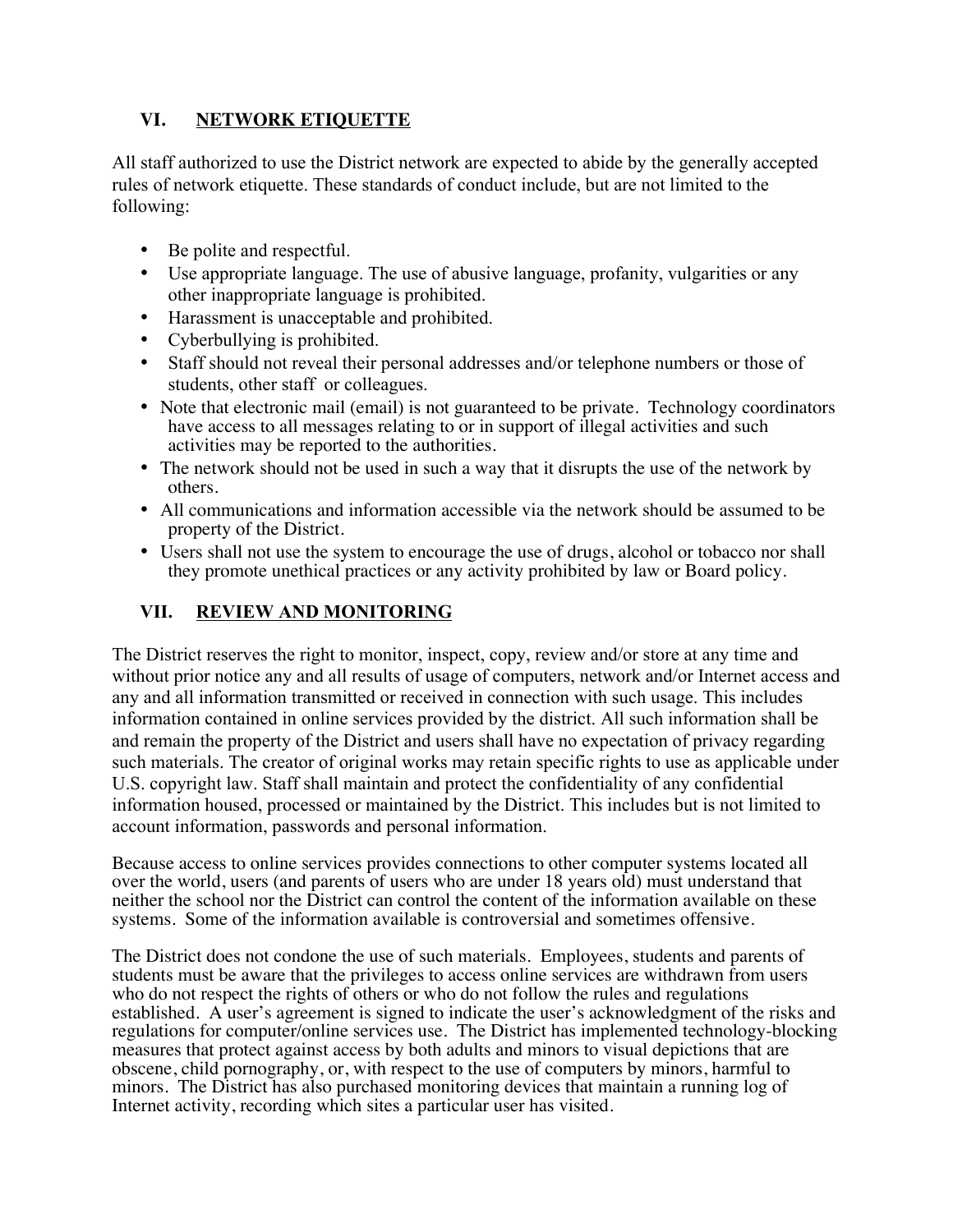## **VI. NETWORK ETIQUETTE**

 All staff authorized to use the District network are expected to abide by the generally accepted rules of network etiquette. These standards of conduct include, but are not limited to the following:

- Be polite and respectful.
- Use appropriate language. The use of abusive language, profanity, vulgarities or any other inappropriate language is prohibited.
- Harassment is unacceptable and prohibited.
- Cyberbullying is prohibited.
- Staff should not reveal their personal addresses and/or telephone numbers or those of students, other staff or colleagues.
- Note that electronic mail (email) is not guaranteed to be private. Technology coordinators have access to all messages relating to or in support of illegal activities and such activities may be reported to the authorities.
- The network should not be used in such a way that it disrupts the use of the network by others.
- All communications and information accessible via the network should be assumed to be property of the District.
- Users shall not use the system to encourage the use of drugs, alcohol or tobacco nor shall they promote unethical practices or any activity prohibited by law or Board policy.

## **VII. REVIEW AND MONITORING**

The District reserves the right to monitor, inspect, copy, review and/or store at any time and without prior notice any and all results of usage of computers, network and/or Internet access and any and all information transmitted or received in connection with such usage. This includes information contained in online services provided by the district. All such information shall be and remain the property of the District and users shall have no expectation of privacy regarding such materials. The creator of original works may retain specific rights to use as applicable under U.S. copyright law. Staff shall maintain and protect the confidentiality of any confidential information housed, processed or maintained by the District. This includes but is not limited to account information, passwords and personal information.

Because access to online services provides connections to other computer systems located all over the world, users (and parents of users who are under 18 years old) must understand that neither the school nor the District can control the content of the information available on these systems. Some of the information available is controversial and sometimes offensive.

The District does not condone the use of such materials. Employees, students and parents of students must be aware that the privileges to access online services are withdrawn from users who do not respect the rights of others or who do not follow the rules and regulations established. A user's agreement is signed to indicate the user's acknowledgment of the risks and regulations for computer/online services use. The District has implemented technology-blocking measures that protect against access by both adults and minors to visual depictions that are obscene, child pornography, or, with respect to the use of computers by minors, harmful to minors. The District has also purchased monitoring devices that maintain a running log of Internet activity, recording which sites a particular user has visited.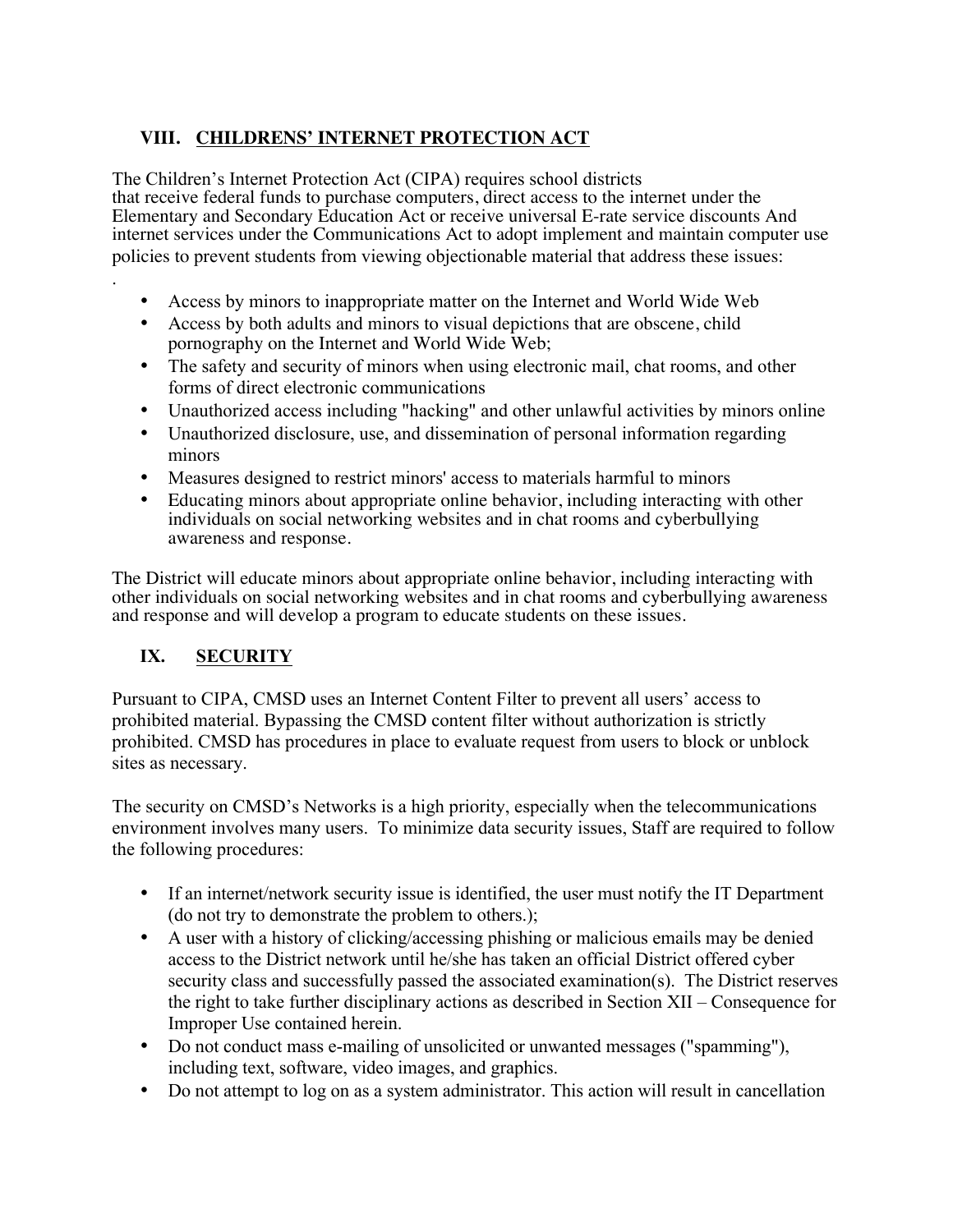### **VIII. CHILDRENS' INTERNET PROTECTION ACT**

The Children's Internet Protection Act (CIPA) requires school districts that receive federal funds to purchase computers, direct access to the internet under the Elementary and Secondary Education Act or receive universal E-rate service discounts And internet services under the Communications Act to adopt implement and maintain computer use policies to prevent students from viewing objectionable material that address these issues:

- Access by minors to inappropriate matter on the Internet and World Wide Web
- Access by both adults and minors to visual depictions that are obscene, child pornography on the Internet and World Wide Web;
- The safety and security of minors when using electronic mail, chat rooms, and other forms of direct electronic communications
- Unauthorized access including "hacking" and other unlawful activities by minors online
- Unauthorized disclosure, use, and dissemination of personal information regarding minors
- Measures designed to restrict minors' access to materials harmful to minors
- Educating minors about appropriate online behavior, including interacting with other individuals on social networking websites and in chat rooms and cyberbullying awareness and response.

The District will educate minors about appropriate online behavior, including interacting with other individuals on social networking websites and in chat rooms and cyberbullying awareness and response and will develop a program to educate students on these issues.

### **IX. SECURITY**

.

Pursuant to CIPA, CMSD uses an Internet Content Filter to prevent all users' access to prohibited material. Bypassing the CMSD content filter without authorization is strictly prohibited. CMSD has procedures in place to evaluate request from users to block or unblock sites as necessary.

The security on CMSD's Networks is a high priority, especially when the telecommunications environment involves many users. To minimize data security issues, Staff are required to follow the following procedures:

- If an internet/network security issue is identified, the user must notify the IT Department (do not try to demonstrate the problem to others.);
- A user with a history of clicking/accessing phishing or malicious emails may be denied access to the District network until he/she has taken an official District offered cyber security class and successfully passed the associated examination(s). The District reserves the right to take further disciplinary actions as described in Section XII – Consequence for Improper Use contained herein.
- Do not conduct mass e-mailing of unsolicited or unwanted messages ("spamming"), including text, software, video images, and graphics.
- Do not attempt to log on as a system administrator. This action will result in cancellation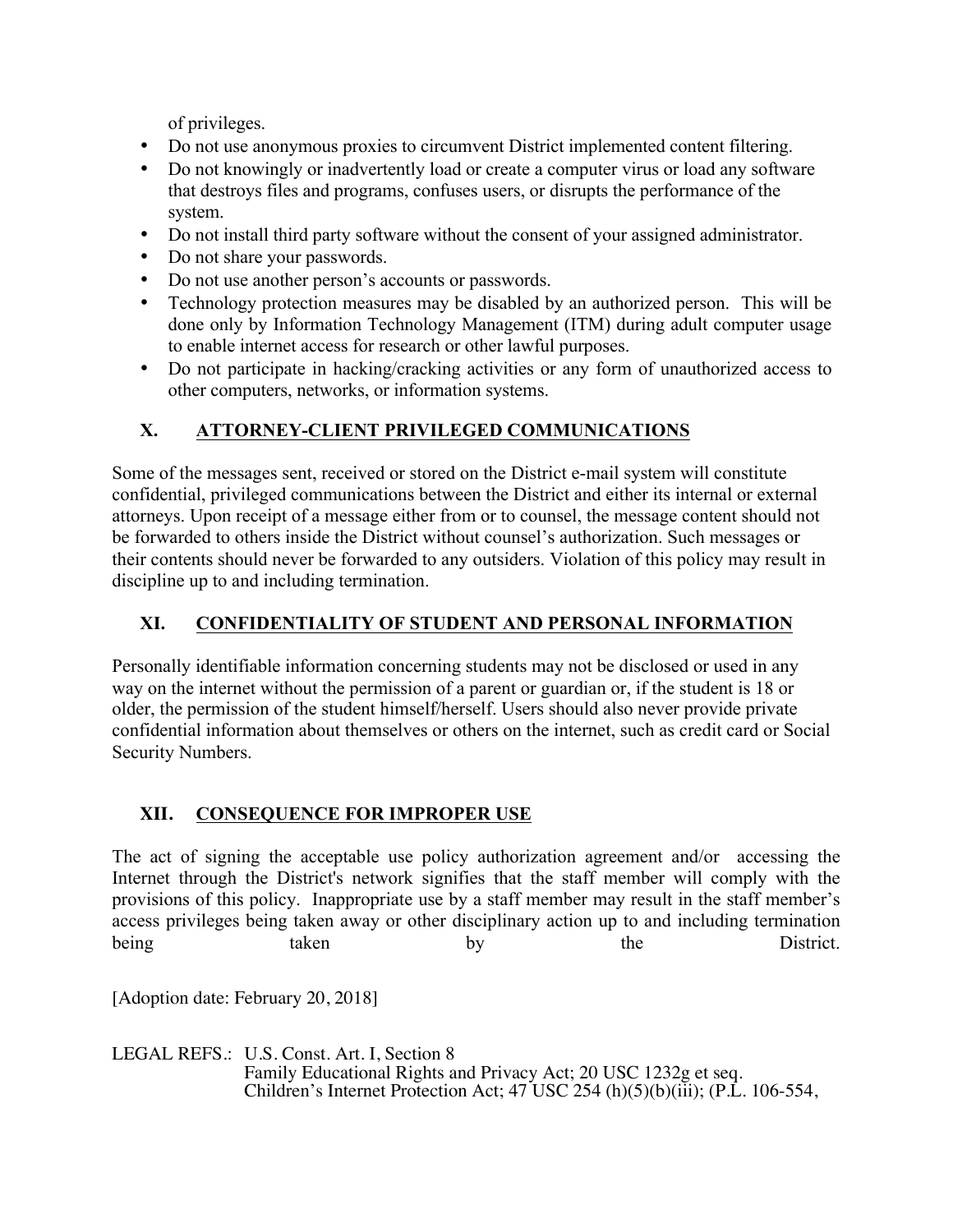of privileges.

- Do not use anonymous proxies to circumvent District implemented content filtering.
- Do not knowingly or inadvertently load or create a computer virus or load any software that destroys files and programs, confuses users, or disrupts the performance of the system.
- Do not install third party software without the consent of your assigned administrator.
- Do not share your passwords.
- Do not use another person's accounts or passwords.
- • Technology protection measures may be disabled by an authorized person. This will be done only by Information Technology Management (ITM) during adult computer usage to enable internet access for research or other lawful purposes.
- Do not participate in hacking/cracking activities or any form of unauthorized access to other computers, networks, or information systems.

# **X. ATTORNEY-CLIENT PRIVILEGED COMMUNICATIONS**

 their contents should never be forwarded to any outsiders. Violation of this policy may result in Some of the messages sent, received or stored on the District e-mail system will constitute confidential, privileged communications between the District and either its internal or external attorneys. Upon receipt of a message either from or to counsel, the message content should not be forwarded to others inside the District without counsel's authorization. Such messages or discipline up to and including termination.

### **XI. CONFIDENTIALITY OF STUDENT AND PERSONAL INFORMATION**

Personally identifiable information concerning students may not be disclosed or used in any way on the internet without the permission of a parent or guardian or, if the student is 18 or older, the permission of the student himself/herself. Users should also never provide private confidential information about themselves or others on the internet, such as credit card or Social Security Numbers.

# **XII. CONSEQUENCE FOR IMPROPER USE**

 The act of signing the acceptable use policy authorization agreement and/or accessing the Internet through the District's network signifies that the staff member will comply with the provisions of this policy. Inappropriate use by a staff member may result in the staff member's access privileges being taken away or other disciplinary action up to and including termination being taken by the District.

[Adoption date: February 20, 2018]

LEGAL REFS.: U.S. Const. Art. I, Section 8 Family Educational Rights and Privacy Act; 20 USC 1232g et seq. Children's Internet Protection Act;  $47$  USC 254 (h)(5)(b)(iii); (P.L. 106-554,